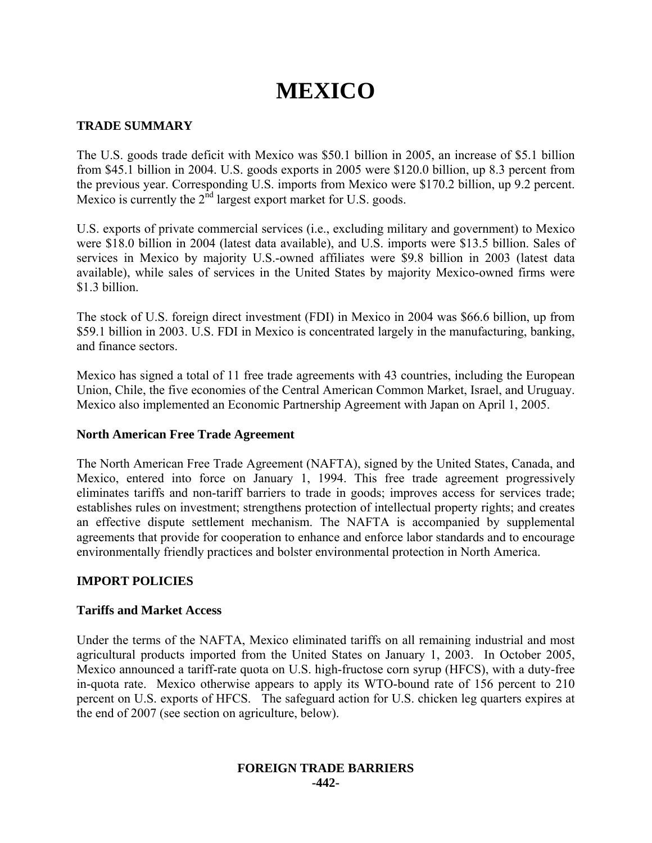# **MEXICO**

# **TRADE SUMMARY**

The U.S. goods trade deficit with Mexico was \$50.1 billion in 2005, an increase of \$5.1 billion from \$45.1 billion in 2004. U.S. goods exports in 2005 were \$120.0 billion, up 8.3 percent from the previous year. Corresponding U.S. imports from Mexico were \$170.2 billion, up 9.2 percent. Mexico is currently the 2<sup>nd</sup> largest export market for U.S. goods.

U.S. exports of private commercial services (i.e., excluding military and government) to Mexico were \$18.0 billion in 2004 (latest data available), and U.S. imports were \$13.5 billion. Sales of services in Mexico by majority U.S.-owned affiliates were \$9.8 billion in 2003 (latest data available), while sales of services in the United States by majority Mexico-owned firms were \$1.3 billion.

The stock of U.S. foreign direct investment (FDI) in Mexico in 2004 was \$66.6 billion, up from \$59.1 billion in 2003. U.S. FDI in Mexico is concentrated largely in the manufacturing, banking, and finance sectors.

Mexico has signed a total of 11 free trade agreements with 43 countries, including the European Union, Chile, the five economies of the Central American Common Market, Israel, and Uruguay. Mexico also implemented an Economic Partnership Agreement with Japan on April 1, 2005.

### **North American Free Trade Agreement**

The North American Free Trade Agreement (NAFTA), signed by the United States, Canada, and Mexico, entered into force on January 1, 1994. This free trade agreement progressively eliminates tariffs and non-tariff barriers to trade in goods; improves access for services trade; establishes rules on investment; strengthens protection of intellectual property rights; and creates an effective dispute settlement mechanism. The NAFTA is accompanied by supplemental agreements that provide for cooperation to enhance and enforce labor standards and to encourage environmentally friendly practices and bolster environmental protection in North America.

# **IMPORT POLICIES**

### **Tariffs and Market Access**

Under the terms of the NAFTA, Mexico eliminated tariffs on all remaining industrial and most agricultural products imported from the United States on January 1, 2003. In October 2005, Mexico announced a tariff-rate quota on U.S. high-fructose corn syrup (HFCS), with a duty-free in-quota rate. Mexico otherwise appears to apply its WTO-bound rate of 156 percent to 210 percent on U.S. exports of HFCS. The safeguard action for U.S. chicken leg quarters expires at the end of 2007 (see section on agriculture, below).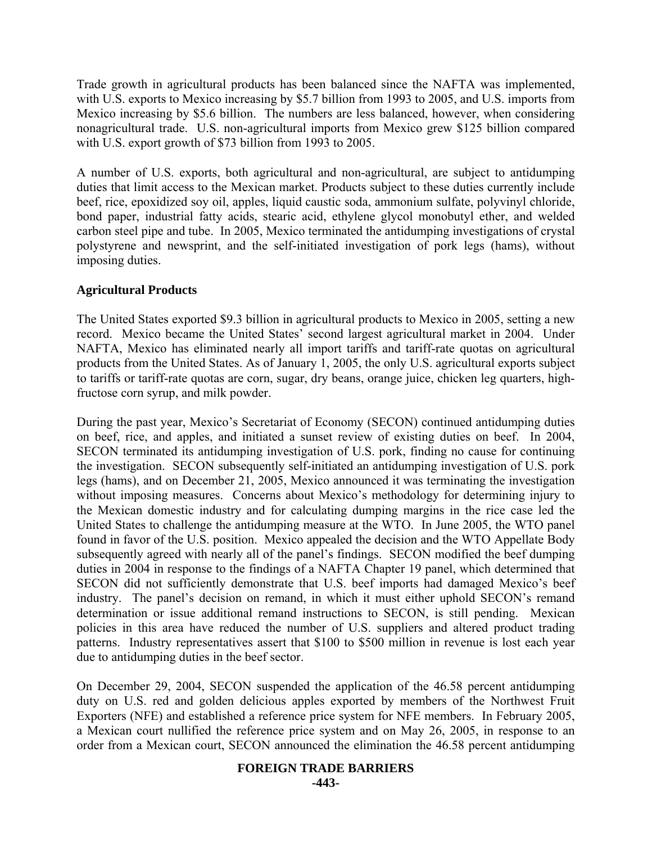Trade growth in agricultural products has been balanced since the NAFTA was implemented, with U.S. exports to Mexico increasing by \$5.7 billion from 1993 to 2005, and U.S. imports from Mexico increasing by \$5.6 billion. The numbers are less balanced, however, when considering nonagricultural trade. U.S. non-agricultural imports from Mexico grew \$125 billion compared with U.S. export growth of \$73 billion from 1993 to 2005.

A number of U.S. exports, both agricultural and non-agricultural, are subject to antidumping duties that limit access to the Mexican market. Products subject to these duties currently include beef, rice, epoxidized soy oil, apples, liquid caustic soda, ammonium sulfate, polyvinyl chloride, bond paper, industrial fatty acids, stearic acid, ethylene glycol monobutyl ether, and welded carbon steel pipe and tube. In 2005, Mexico terminated the antidumping investigations of crystal polystyrene and newsprint, and the self-initiated investigation of pork legs (hams), without imposing duties.

# **Agricultural Products**

The United States exported \$9.3 billion in agricultural products to Mexico in 2005, setting a new record. Mexico became the United States' second largest agricultural market in 2004. Under NAFTA, Mexico has eliminated nearly all import tariffs and tariff-rate quotas on agricultural products from the United States. As of January 1, 2005, the only U.S. agricultural exports subject to tariffs or tariff-rate quotas are corn, sugar, dry beans, orange juice, chicken leg quarters, highfructose corn syrup, and milk powder.

During the past year, Mexico's Secretariat of Economy (SECON) continued antidumping duties on beef, rice, and apples, and initiated a sunset review of existing duties on beef. In 2004, SECON terminated its antidumping investigation of U.S. pork, finding no cause for continuing the investigation. SECON subsequently self-initiated an antidumping investigation of U.S. pork legs (hams), and on December 21, 2005, Mexico announced it was terminating the investigation without imposing measures. Concerns about Mexico's methodology for determining injury to the Mexican domestic industry and for calculating dumping margins in the rice case led the United States to challenge the antidumping measure at the WTO. In June 2005, the WTO panel found in favor of the U.S. position. Mexico appealed the decision and the WTO Appellate Body subsequently agreed with nearly all of the panel's findings. SECON modified the beef dumping duties in 2004 in response to the findings of a NAFTA Chapter 19 panel, which determined that SECON did not sufficiently demonstrate that U.S. beef imports had damaged Mexico's beef industry. The panel's decision on remand, in which it must either uphold SECON's remand determination or issue additional remand instructions to SECON, is still pending. Mexican policies in this area have reduced the number of U.S. suppliers and altered product trading patterns. Industry representatives assert that \$100 to \$500 million in revenue is lost each year due to antidumping duties in the beef sector.

On December 29, 2004, SECON suspended the application of the 46.58 percent antidumping duty on U.S. red and golden delicious apples exported by members of the Northwest Fruit Exporters (NFE) and established a reference price system for NFE members. In February 2005, a Mexican court nullified the reference price system and on May 26, 2005, in response to an order from a Mexican court, SECON announced the elimination the 46.58 percent antidumping

#### **FOREIGN TRADE BARRIERS -443-**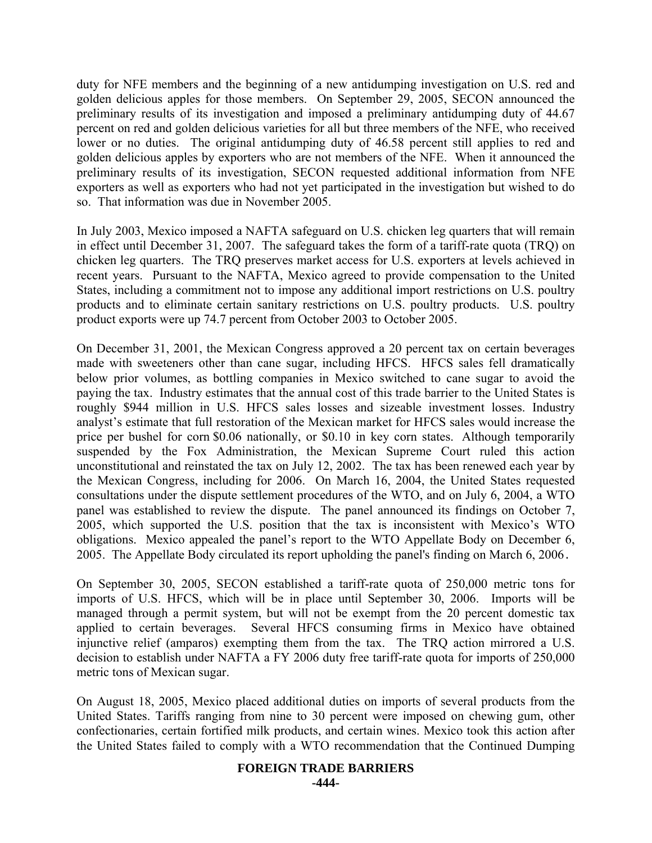duty for NFE members and the beginning of a new antidumping investigation on U.S. red and golden delicious apples for those members. On September 29, 2005, SECON announced the preliminary results of its investigation and imposed a preliminary antidumping duty of 44.67 percent on red and golden delicious varieties for all but three members of the NFE, who received lower or no duties. The original antidumping duty of 46.58 percent still applies to red and golden delicious apples by exporters who are not members of the NFE. When it announced the preliminary results of its investigation, SECON requested additional information from NFE exporters as well as exporters who had not yet participated in the investigation but wished to do so. That information was due in November 2005.

In July 2003, Mexico imposed a NAFTA safeguard on U.S. chicken leg quarters that will remain in effect until December 31, 2007. The safeguard takes the form of a tariff-rate quota (TRQ) on chicken leg quarters. The TRQ preserves market access for U.S. exporters at levels achieved in recent years. Pursuant to the NAFTA, Mexico agreed to provide compensation to the United States, including a commitment not to impose any additional import restrictions on U.S. poultry products and to eliminate certain sanitary restrictions on U.S. poultry products. U.S. poultry product exports were up 74.7 percent from October 2003 to October 2005.

On December 31, 2001, the Mexican Congress approved a 20 percent tax on certain beverages made with sweeteners other than cane sugar, including HFCS. HFCS sales fell dramatically below prior volumes, as bottling companies in Mexico switched to cane sugar to avoid the paying the tax. Industry estimates that the annual cost of this trade barrier to the United States is roughly \$944 million in U.S. HFCS sales losses and sizeable investment losses. Industry analyst's estimate that full restoration of the Mexican market for HFCS sales would increase the price per bushel for corn \$0.06 nationally, or \$0.10 in key corn states. Although temporarily suspended by the Fox Administration, the Mexican Supreme Court ruled this action unconstitutional and reinstated the tax on July 12, 2002. The tax has been renewed each year by the Mexican Congress, including for 2006. On March 16, 2004, the United States requested consultations under the dispute settlement procedures of the WTO, and on July 6, 2004, a WTO panel was established to review the dispute. The panel announced its findings on October 7, 2005, which supported the U.S. position that the tax is inconsistent with Mexico's WTO obligations. Mexico appealed the panel's report to the WTO Appellate Body on December 6, 2005. The Appellate Body circulated its report upholding the panel's finding on March 6, 2006.

On September 30, 2005, SECON established a tariff-rate quota of 250,000 metric tons for imports of U.S. HFCS, which will be in place until September 30, 2006. Imports will be managed through a permit system, but will not be exempt from the 20 percent domestic tax applied to certain beverages. Several HFCS consuming firms in Mexico have obtained injunctive relief (amparos) exempting them from the tax. The TRQ action mirrored a U.S. decision to establish under NAFTA a FY 2006 duty free tariff-rate quota for imports of 250,000 metric tons of Mexican sugar.

On August 18, 2005, Mexico placed additional duties on imports of several products from the United States. Tariffs ranging from nine to 30 percent were imposed on chewing gum, other confectionaries, certain fortified milk products, and certain wines. Mexico took this action after the United States failed to comply with a WTO recommendation that the Continued Dumping

#### **FOREIGN TRADE BARRIERS -444-**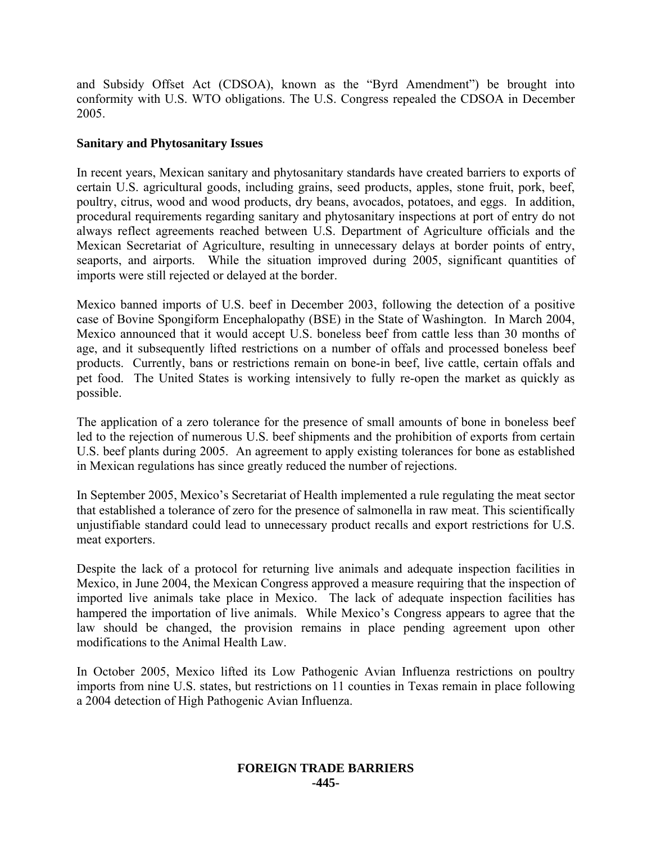and Subsidy Offset Act (CDSOA), known as the "Byrd Amendment") be brought into conformity with U.S. WTO obligations. The U.S. Congress repealed the CDSOA in December 2005.

### **Sanitary and Phytosanitary Issues**

In recent years, Mexican sanitary and phytosanitary standards have created barriers to exports of certain U.S. agricultural goods, including grains, seed products, apples, stone fruit, pork, beef, poultry, citrus, wood and wood products, dry beans, avocados, potatoes, and eggs. In addition, procedural requirements regarding sanitary and phytosanitary inspections at port of entry do not always reflect agreements reached between U.S. Department of Agriculture officials and the Mexican Secretariat of Agriculture, resulting in unnecessary delays at border points of entry, seaports, and airports. While the situation improved during 2005, significant quantities of imports were still rejected or delayed at the border.

Mexico banned imports of U.S. beef in December 2003, following the detection of a positive case of Bovine Spongiform Encephalopathy (BSE) in the State of Washington. In March 2004, Mexico announced that it would accept U.S. boneless beef from cattle less than 30 months of age, and it subsequently lifted restrictions on a number of offals and processed boneless beef products. Currently, bans or restrictions remain on bone-in beef, live cattle, certain offals and pet food. The United States is working intensively to fully re-open the market as quickly as possible.

The application of a zero tolerance for the presence of small amounts of bone in boneless beef led to the rejection of numerous U.S. beef shipments and the prohibition of exports from certain U.S. beef plants during 2005. An agreement to apply existing tolerances for bone as established in Mexican regulations has since greatly reduced the number of rejections.

In September 2005, Mexico's Secretariat of Health implemented a rule regulating the meat sector that established a tolerance of zero for the presence of salmonella in raw meat. This scientifically unjustifiable standard could lead to unnecessary product recalls and export restrictions for U.S. meat exporters.

Despite the lack of a protocol for returning live animals and adequate inspection facilities in Mexico, in June 2004, the Mexican Congress approved a measure requiring that the inspection of imported live animals take place in Mexico. The lack of adequate inspection facilities has hampered the importation of live animals. While Mexico's Congress appears to agree that the law should be changed, the provision remains in place pending agreement upon other modifications to the Animal Health Law.

In October 2005, Mexico lifted its Low Pathogenic Avian Influenza restrictions on poultry imports from nine U.S. states, but restrictions on 11 counties in Texas remain in place following a 2004 detection of High Pathogenic Avian Influenza.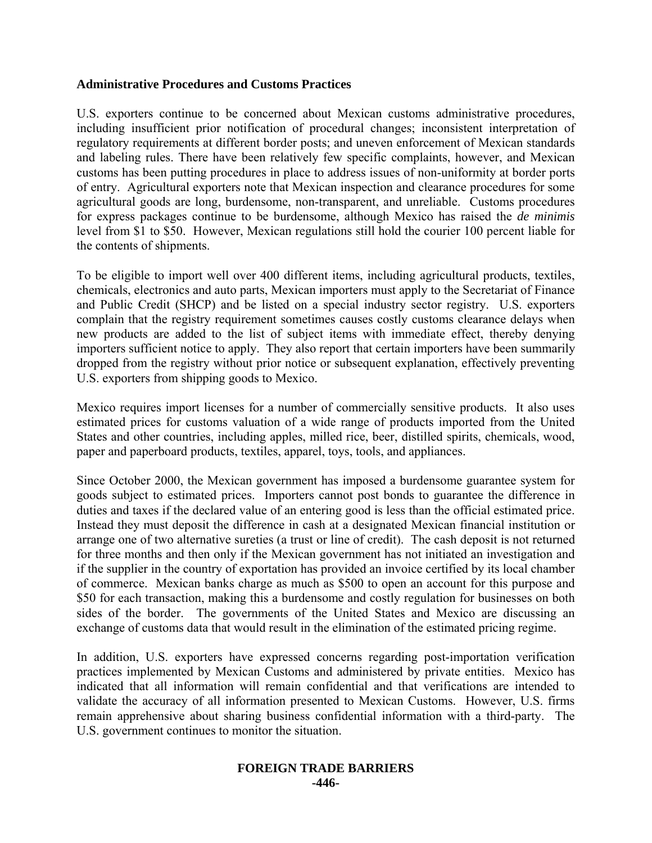### **Administrative Procedures and Customs Practices**

U.S. exporters continue to be concerned about Mexican customs administrative procedures, including insufficient prior notification of procedural changes; inconsistent interpretation of regulatory requirements at different border posts; and uneven enforcement of Mexican standards and labeling rules. There have been relatively few specific complaints, however, and Mexican customs has been putting procedures in place to address issues of non-uniformity at border ports of entry. Agricultural exporters note that Mexican inspection and clearance procedures for some agricultural goods are long, burdensome, non-transparent, and unreliable. Customs procedures for express packages continue to be burdensome, although Mexico has raised the *de minimis* level from \$1 to \$50. However, Mexican regulations still hold the courier 100 percent liable for the contents of shipments.

To be eligible to import well over 400 different items, including agricultural products, textiles, chemicals, electronics and auto parts, Mexican importers must apply to the Secretariat of Finance and Public Credit (SHCP) and be listed on a special industry sector registry. U.S. exporters complain that the registry requirement sometimes causes costly customs clearance delays when new products are added to the list of subject items with immediate effect, thereby denying importers sufficient notice to apply. They also report that certain importers have been summarily dropped from the registry without prior notice or subsequent explanation, effectively preventing U.S. exporters from shipping goods to Mexico.

Mexico requires import licenses for a number of commercially sensitive products. It also uses estimated prices for customs valuation of a wide range of products imported from the United States and other countries, including apples, milled rice, beer, distilled spirits, chemicals, wood, paper and paperboard products, textiles, apparel, toys, tools, and appliances.

Since October 2000, the Mexican government has imposed a burdensome guarantee system for goods subject to estimated prices. Importers cannot post bonds to guarantee the difference in duties and taxes if the declared value of an entering good is less than the official estimated price. Instead they must deposit the difference in cash at a designated Mexican financial institution or arrange one of two alternative sureties (a trust or line of credit). The cash deposit is not returned for three months and then only if the Mexican government has not initiated an investigation and if the supplier in the country of exportation has provided an invoice certified by its local chamber of commerce. Mexican banks charge as much as \$500 to open an account for this purpose and \$50 for each transaction, making this a burdensome and costly regulation for businesses on both sides of the border. The governments of the United States and Mexico are discussing an exchange of customs data that would result in the elimination of the estimated pricing regime.

In addition, U.S. exporters have expressed concerns regarding post-importation verification practices implemented by Mexican Customs and administered by private entities. Mexico has indicated that all information will remain confidential and that verifications are intended to validate the accuracy of all information presented to Mexican Customs. However, U.S. firms remain apprehensive about sharing business confidential information with a third-party. The U.S. government continues to monitor the situation.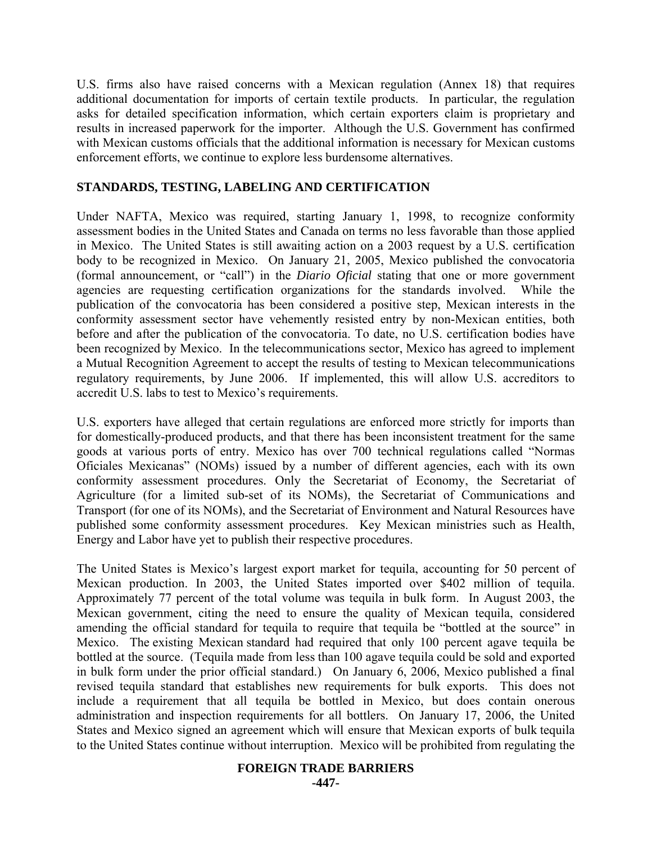U.S. firms also have raised concerns with a Mexican regulation (Annex 18) that requires additional documentation for imports of certain textile products. In particular, the regulation asks for detailed specification information, which certain exporters claim is proprietary and results in increased paperwork for the importer. Although the U.S. Government has confirmed with Mexican customs officials that the additional information is necessary for Mexican customs enforcement efforts, we continue to explore less burdensome alternatives.

# **STANDARDS, TESTING, LABELING AND CERTIFICATION**

Under NAFTA, Mexico was required, starting January 1, 1998, to recognize conformity assessment bodies in the United States and Canada on terms no less favorable than those applied in Mexico. The United States is still awaiting action on a 2003 request by a U.S. certification body to be recognized in Mexico. On January 21, 2005, Mexico published the convocatoria (formal announcement, or "call") in the *Diario Oficial* stating that one or more government agencies are requesting certification organizations for the standards involved. While the publication of the convocatoria has been considered a positive step, Mexican interests in the conformity assessment sector have vehemently resisted entry by non-Mexican entities, both before and after the publication of the convocatoria. To date, no U.S. certification bodies have been recognized by Mexico. In the telecommunications sector, Mexico has agreed to implement a Mutual Recognition Agreement to accept the results of testing to Mexican telecommunications regulatory requirements, by June 2006. If implemented, this will allow U.S. accreditors to accredit U.S. labs to test to Mexico's requirements.

U.S. exporters have alleged that certain regulations are enforced more strictly for imports than for domestically-produced products, and that there has been inconsistent treatment for the same goods at various ports of entry. Mexico has over 700 technical regulations called "Normas Oficiales Mexicanas" (NOMs) issued by a number of different agencies, each with its own conformity assessment procedures. Only the Secretariat of Economy, the Secretariat of Agriculture (for a limited sub-set of its NOMs), the Secretariat of Communications and Transport (for one of its NOMs), and the Secretariat of Environment and Natural Resources have published some conformity assessment procedures. Key Mexican ministries such as Health, Energy and Labor have yet to publish their respective procedures.

The United States is Mexico's largest export market for tequila, accounting for 50 percent of Mexican production. In 2003, the United States imported over \$402 million of tequila. Approximately 77 percent of the total volume was tequila in bulk form. In August 2003, the Mexican government, citing the need to ensure the quality of Mexican tequila, considered amending the official standard for tequila to require that tequila be "bottled at the source" in Mexico. The existing Mexican standard had required that only 100 percent agave tequila be bottled at the source. (Tequila made from less than 100 agave tequila could be sold and exported in bulk form under the prior official standard.) On January 6, 2006, Mexico published a final revised tequila standard that establishes new requirements for bulk exports. This does not include a requirement that all tequila be bottled in Mexico, but does contain onerous administration and inspection requirements for all bottlers. On January 17, 2006, the United States and Mexico signed an agreement which will ensure that Mexican exports of bulk tequila to the United States continue without interruption. Mexico will be prohibited from regulating the

# **FOREIGN TRADE BARRIERS**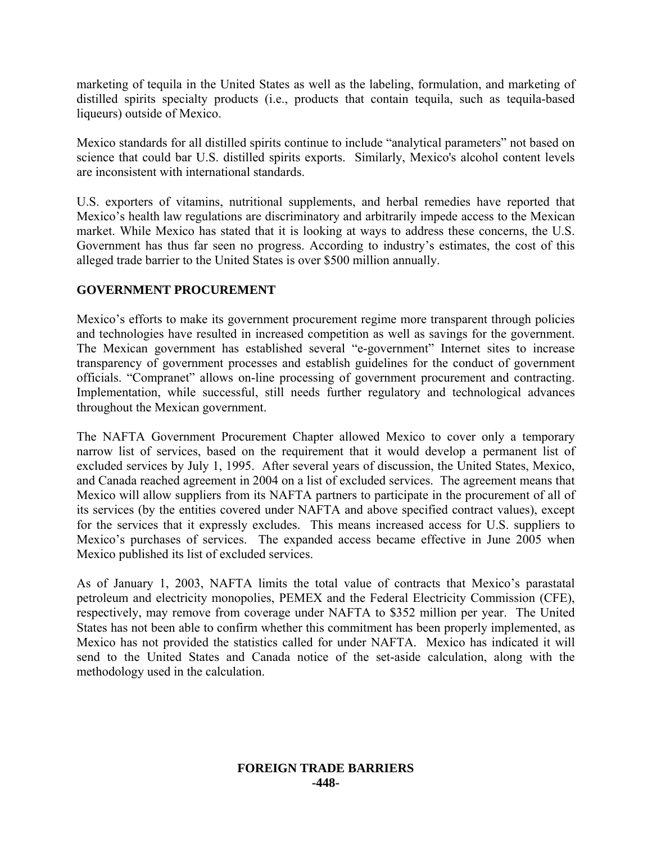marketing of tequila in the United States as well as the labeling, formulation, and marketing of distilled spirits specialty products (i.e., products that contain tequila, such as tequila-based liqueurs) outside of Mexico.

Mexico standards for all distilled spirits continue to include "analytical parameters" not based on science that could bar U.S. distilled spirits exports. Similarly, Mexico's alcohol content levels are inconsistent with international standards.

U.S. exporters of vitamins, nutritional supplements, and herbal remedies have reported that Mexico's health law regulations are discriminatory and arbitrarily impede access to the Mexican market. While Mexico has stated that it is looking at ways to address these concerns, the U.S. Government has thus far seen no progress. According to industry's estimates, the cost of this alleged trade barrier to the United States is over \$500 million annually.

# **GOVERNMENT PROCUREMENT**

Mexico's efforts to make its government procurement regime more transparent through policies and technologies have resulted in increased competition as well as savings for the government. The Mexican government has established several "e-government" Internet sites to increase transparency of government processes and establish guidelines for the conduct of government officials. "Compranet" allows on-line processing of government procurement and contracting. Implementation, while successful, still needs further regulatory and technological advances throughout the Mexican government.

The NAFTA Government Procurement Chapter allowed Mexico to cover only a temporary narrow list of services, based on the requirement that it would develop a permanent list of excluded services by July 1, 1995. After several years of discussion, the United States, Mexico, and Canada reached agreement in 2004 on a list of excluded services. The agreement means that Mexico will allow suppliers from its NAFTA partners to participate in the procurement of all of its services (by the entities covered under NAFTA and above specified contract values), except for the services that it expressly excludes. This means increased access for U.S. suppliers to Mexico's purchases of services. The expanded access became effective in June 2005 when Mexico published its list of excluded services.

As of January 1, 2003, NAFTA limits the total value of contracts that Mexico's parastatal petroleum and electricity monopolies, PEMEX and the Federal Electricity Commission (CFE), respectively, may remove from coverage under NAFTA to \$352 million per year. The United States has not been able to confirm whether this commitment has been properly implemented, as Mexico has not provided the statistics called for under NAFTA. Mexico has indicated it will send to the United States and Canada notice of the set-aside calculation, along with the methodology used in the calculation.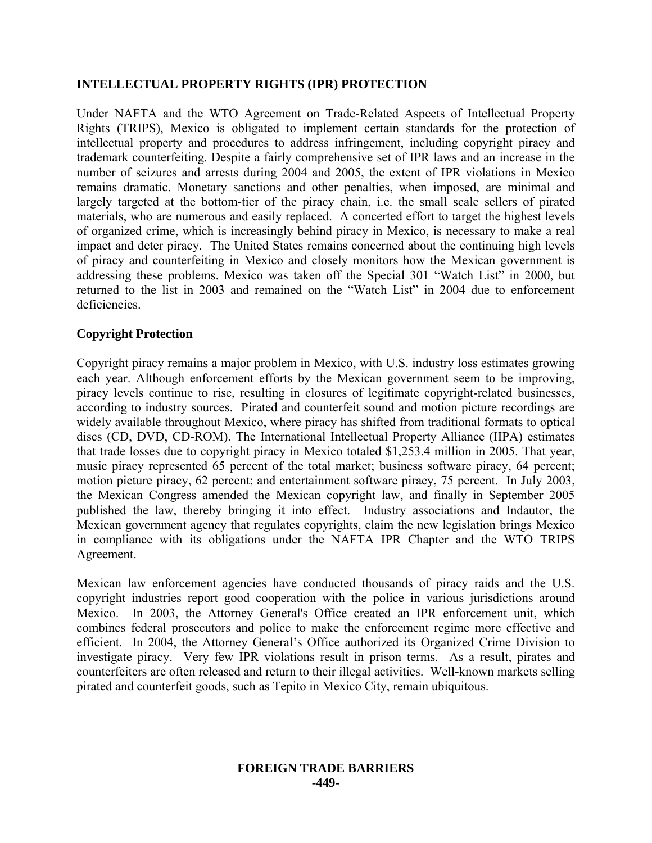# **INTELLECTUAL PROPERTY RIGHTS (IPR) PROTECTION**

Under NAFTA and the WTO Agreement on Trade-Related Aspects of Intellectual Property Rights (TRIPS), Mexico is obligated to implement certain standards for the protection of intellectual property and procedures to address infringement, including copyright piracy and trademark counterfeiting. Despite a fairly comprehensive set of IPR laws and an increase in the number of seizures and arrests during 2004 and 2005, the extent of IPR violations in Mexico remains dramatic. Monetary sanctions and other penalties, when imposed, are minimal and largely targeted at the bottom-tier of the piracy chain, i.e. the small scale sellers of pirated materials, who are numerous and easily replaced. A concerted effort to target the highest levels of organized crime, which is increasingly behind piracy in Mexico, is necessary to make a real impact and deter piracy. The United States remains concerned about the continuing high levels of piracy and counterfeiting in Mexico and closely monitors how the Mexican government is addressing these problems. Mexico was taken off the Special 301 "Watch List" in 2000, but returned to the list in 2003 and remained on the "Watch List" in 2004 due to enforcement deficiencies.

# **Copyright Protection**

Copyright piracy remains a major problem in Mexico, with U.S. industry loss estimates growing each year. Although enforcement efforts by the Mexican government seem to be improving, piracy levels continue to rise, resulting in closures of legitimate copyright-related businesses, according to industry sources. Pirated and counterfeit sound and motion picture recordings are widely available throughout Mexico, where piracy has shifted from traditional formats to optical discs (CD, DVD, CD-ROM). The International Intellectual Property Alliance (IIPA) estimates that trade losses due to copyright piracy in Mexico totaled \$1,253.4 million in 2005. That year, music piracy represented 65 percent of the total market; business software piracy, 64 percent; motion picture piracy, 62 percent; and entertainment software piracy, 75 percent. In July 2003, the Mexican Congress amended the Mexican copyright law, and finally in September 2005 published the law, thereby bringing it into effect. Industry associations and Indautor, the Mexican government agency that regulates copyrights, claim the new legislation brings Mexico in compliance with its obligations under the NAFTA IPR Chapter and the WTO TRIPS Agreement.

Mexican law enforcement agencies have conducted thousands of piracy raids and the U.S. copyright industries report good cooperation with the police in various jurisdictions around Mexico. In 2003, the Attorney General's Office created an IPR enforcement unit, which combines federal prosecutors and police to make the enforcement regime more effective and efficient. In 2004, the Attorney General's Office authorized its Organized Crime Division to investigate piracy. Very few IPR violations result in prison terms. As a result, pirates and counterfeiters are often released and return to their illegal activities. Well-known markets selling pirated and counterfeit goods, such as Tepito in Mexico City, remain ubiquitous.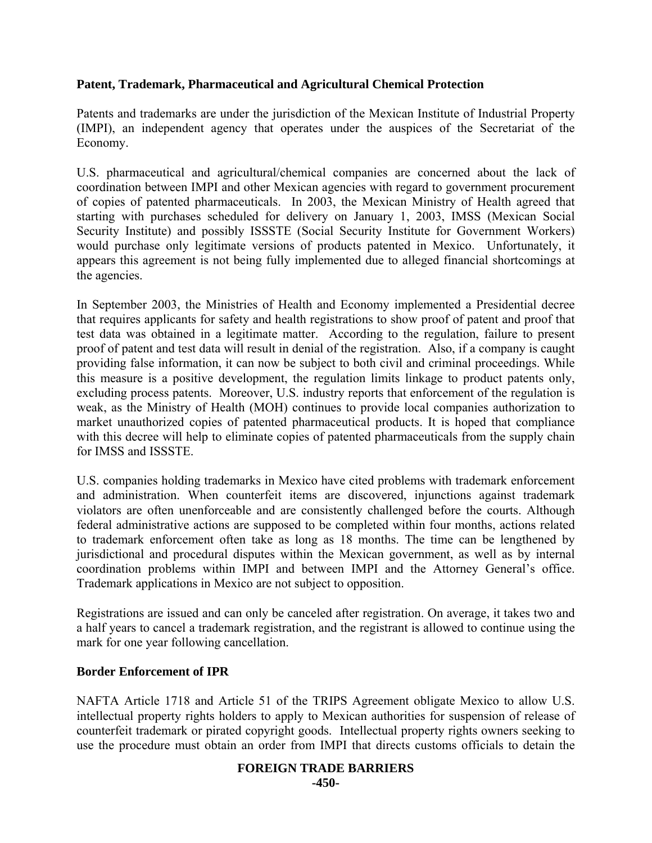# **Patent, Trademark, Pharmaceutical and Agricultural Chemical Protection**

Patents and trademarks are under the jurisdiction of the Mexican Institute of Industrial Property (IMPI), an independent agency that operates under the auspices of the Secretariat of the Economy.

U.S. pharmaceutical and agricultural/chemical companies are concerned about the lack of coordination between IMPI and other Mexican agencies with regard to government procurement of copies of patented pharmaceuticals. In 2003, the Mexican Ministry of Health agreed that starting with purchases scheduled for delivery on January 1, 2003, IMSS (Mexican Social Security Institute) and possibly ISSSTE (Social Security Institute for Government Workers) would purchase only legitimate versions of products patented in Mexico. Unfortunately, it appears this agreement is not being fully implemented due to alleged financial shortcomings at the agencies.

In September 2003, the Ministries of Health and Economy implemented a Presidential decree that requires applicants for safety and health registrations to show proof of patent and proof that test data was obtained in a legitimate matter. According to the regulation, failure to present proof of patent and test data will result in denial of the registration. Also, if a company is caught providing false information, it can now be subject to both civil and criminal proceedings. While this measure is a positive development, the regulation limits linkage to product patents only, excluding process patents. Moreover, U.S. industry reports that enforcement of the regulation is weak, as the Ministry of Health (MOH) continues to provide local companies authorization to market unauthorized copies of patented pharmaceutical products. It is hoped that compliance with this decree will help to eliminate copies of patented pharmaceuticals from the supply chain for IMSS and ISSSTE.

U.S. companies holding trademarks in Mexico have cited problems with trademark enforcement and administration. When counterfeit items are discovered, injunctions against trademark violators are often unenforceable and are consistently challenged before the courts. Although federal administrative actions are supposed to be completed within four months, actions related to trademark enforcement often take as long as 18 months. The time can be lengthened by jurisdictional and procedural disputes within the Mexican government, as well as by internal coordination problems within IMPI and between IMPI and the Attorney General's office. Trademark applications in Mexico are not subject to opposition.

Registrations are issued and can only be canceled after registration. On average, it takes two and a half years to cancel a trademark registration, and the registrant is allowed to continue using the mark for one year following cancellation.

### **Border Enforcement of IPR**

NAFTA Article 1718 and Article 51 of the TRIPS Agreement obligate Mexico to allow U.S. intellectual property rights holders to apply to Mexican authorities for suspension of release of counterfeit trademark or pirated copyright goods. Intellectual property rights owners seeking to use the procedure must obtain an order from IMPI that directs customs officials to detain the

#### **FOREIGN TRADE BARRIERS -450-**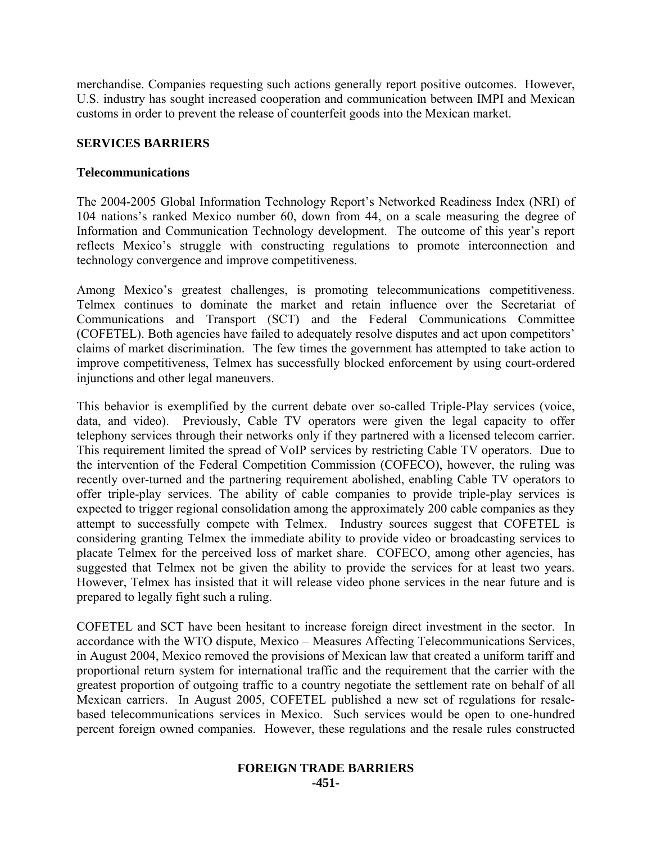merchandise. Companies requesting such actions generally report positive outcomes. However, U.S. industry has sought increased cooperation and communication between IMPI and Mexican customs in order to prevent the release of counterfeit goods into the Mexican market.

# **SERVICES BARRIERS**

## **Telecommunications**

The 2004-2005 Global Information Technology Report's Networked Readiness Index (NRI) of 104 nations's ranked Mexico number 60, down from 44, on a scale measuring the degree of Information and Communication Technology development. The outcome of this year's report reflects Mexico's struggle with constructing regulations to promote interconnection and technology convergence and improve competitiveness.

Among Mexico's greatest challenges, is promoting telecommunications competitiveness. Telmex continues to dominate the market and retain influence over the Secretariat of Communications and Transport (SCT) and the Federal Communications Committee (COFETEL). Both agencies have failed to adequately resolve disputes and act upon competitors' claims of market discrimination. The few times the government has attempted to take action to improve competitiveness, Telmex has successfully blocked enforcement by using court-ordered injunctions and other legal maneuvers.

This behavior is exemplified by the current debate over so-called Triple-Play services (voice, data, and video). Previously, Cable TV operators were given the legal capacity to offer telephony services through their networks only if they partnered with a licensed telecom carrier. This requirement limited the spread of VoIP services by restricting Cable TV operators. Due to the intervention of the Federal Competition Commission (COFECO), however, the ruling was recently over-turned and the partnering requirement abolished, enabling Cable TV operators to offer triple-play services. The ability of cable companies to provide triple-play services is expected to trigger regional consolidation among the approximately 200 cable companies as they attempt to successfully compete with Telmex. Industry sources suggest that COFETEL is considering granting Telmex the immediate ability to provide video or broadcasting services to placate Telmex for the perceived loss of market share. COFECO, among other agencies, has suggested that Telmex not be given the ability to provide the services for at least two years. However, Telmex has insisted that it will release video phone services in the near future and is prepared to legally fight such a ruling.

COFETEL and SCT have been hesitant to increase foreign direct investment in the sector. In accordance with the WTO dispute, Mexico – Measures Affecting Telecommunications Services, in August 2004, Mexico removed the provisions of Mexican law that created a uniform tariff and proportional return system for international traffic and the requirement that the carrier with the greatest proportion of outgoing traffic to a country negotiate the settlement rate on behalf of all Mexican carriers. In August 2005, COFETEL published a new set of regulations for resalebased telecommunications services in Mexico. Such services would be open to one-hundred percent foreign owned companies. However, these regulations and the resale rules constructed

#### **FOREIGN TRADE BARRIERS -451-**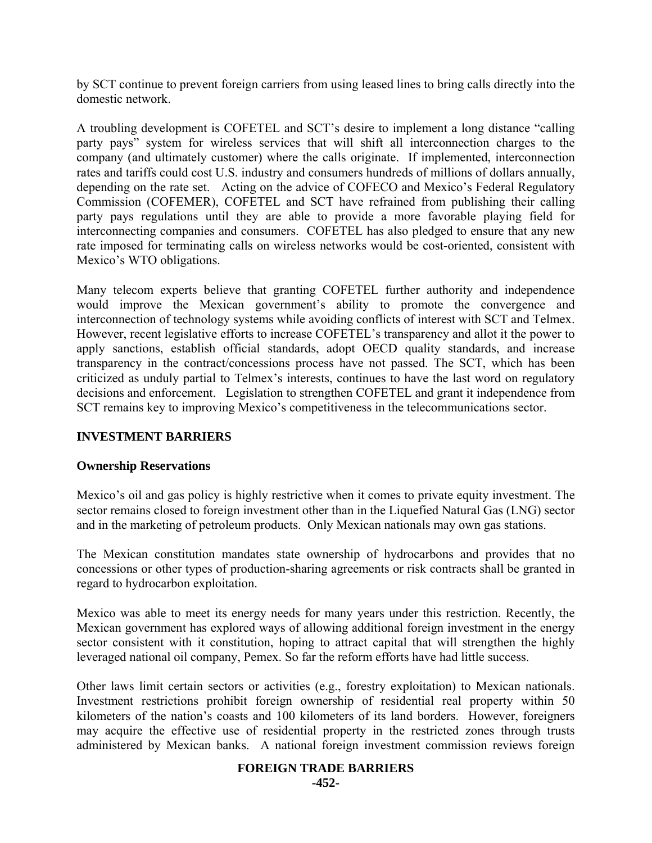by SCT continue to prevent foreign carriers from using leased lines to bring calls directly into the domestic network.

A troubling development is COFETEL and SCT's desire to implement a long distance "calling party pays" system for wireless services that will shift all interconnection charges to the company (and ultimately customer) where the calls originate. If implemented, interconnection rates and tariffs could cost U.S. industry and consumers hundreds of millions of dollars annually, depending on the rate set. Acting on the advice of COFECO and Mexico's Federal Regulatory Commission (COFEMER), COFETEL and SCT have refrained from publishing their calling party pays regulations until they are able to provide a more favorable playing field for interconnecting companies and consumers. COFETEL has also pledged to ensure that any new rate imposed for terminating calls on wireless networks would be cost-oriented, consistent with Mexico's WTO obligations.

Many telecom experts believe that granting COFETEL further authority and independence would improve the Mexican government's ability to promote the convergence and interconnection of technology systems while avoiding conflicts of interest with SCT and Telmex. However, recent legislative efforts to increase COFETEL's transparency and allot it the power to apply sanctions, establish official standards, adopt OECD quality standards, and increase transparency in the contract/concessions process have not passed. The SCT, which has been criticized as unduly partial to Telmex's interests, continues to have the last word on regulatory decisions and enforcement. Legislation to strengthen COFETEL and grant it independence from SCT remains key to improving Mexico's competitiveness in the telecommunications sector.

# **INVESTMENT BARRIERS**

### **Ownership Reservations**

Mexico's oil and gas policy is highly restrictive when it comes to private equity investment. The sector remains closed to foreign investment other than in the Liquefied Natural Gas (LNG) sector and in the marketing of petroleum products. Only Mexican nationals may own gas stations.

The Mexican constitution mandates state ownership of hydrocarbons and provides that no concessions or other types of production-sharing agreements or risk contracts shall be granted in regard to hydrocarbon exploitation.

Mexico was able to meet its energy needs for many years under this restriction. Recently, the Mexican government has explored ways of allowing additional foreign investment in the energy sector consistent with it constitution, hoping to attract capital that will strengthen the highly leveraged national oil company, Pemex. So far the reform efforts have had little success.

Other laws limit certain sectors or activities (e.g., forestry exploitation) to Mexican nationals. Investment restrictions prohibit foreign ownership of residential real property within 50 kilometers of the nation's coasts and 100 kilometers of its land borders. However, foreigners may acquire the effective use of residential property in the restricted zones through trusts administered by Mexican banks. A national foreign investment commission reviews foreign

#### **FOREIGN TRADE BARRIERS**